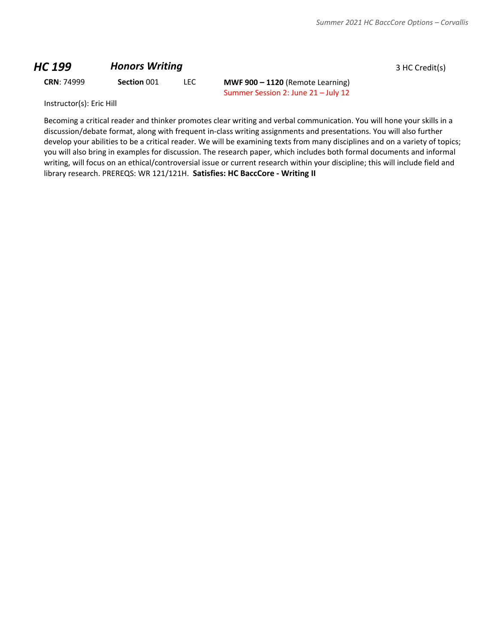#### **HC 199 Honors Writing** *HC* **199 Honors Writing** *BHC* **<b>199 1 HC** Credit(s)

**CRN**: 74999 **Section** 001 LEC **MWF 900 – 1120** (Remote Learning) Summer Session 2: June 21 – July 12

Instructor(s): Eric Hill

Becoming a critical reader and thinker promotes clear writing and verbal communication. You will hone your skills in a discussion/debate format, along with frequent in-class writing assignments and presentations. You will also further develop your abilities to be a critical reader. We will be examining texts from many disciplines and on a variety of topics; you will also bring in examples for discussion. The research paper, which includes both formal documents and informal writing, will focus on an ethical/controversial issue or current research within your discipline; this will include field and library research. PREREQS: WR 121/121H. **Satisfies: HC BaccCore - Writing II**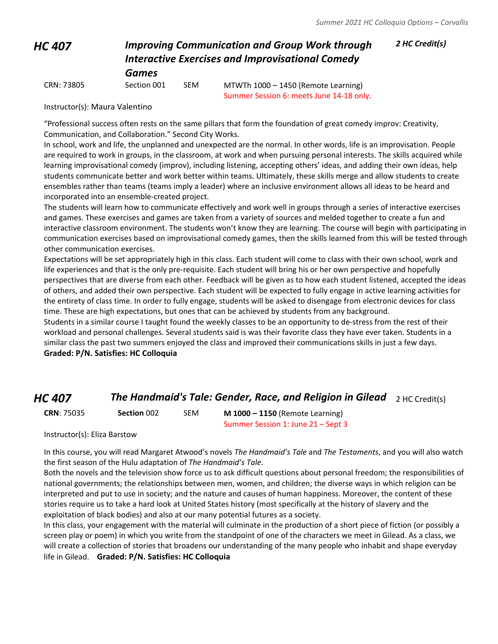#### *HC 407 Improving Communication and Group Work through Interactive Exercises and Improvisational Comedy Games*

*2 HC Credit(s)*

CRN: 73805 Section 001 SEM MTWTh 1000 – 1450 (Remote Learning) Summer Session 6: meets June 14-18 only.

Instructor(s): Maura Valentino

"Professional success often rests on the same pillars that form the foundation of great comedy improv: Creativity, Communication, and Collaboration." Second City Works.

In school, work and life, the unplanned and unexpected are the normal. In other words, life is an improvisation. People are required to work in groups, in the classroom, at work and when pursuing personal interests. The skills acquired while learning improvisational comedy (improv), including listening, accepting others' ideas, and adding their own ideas, help students communicate better and work better within teams. Ultimately, these skills merge and allow students to create ensembles rather than teams (teams imply a leader) where an inclusive environment allows all ideas to be heard and incorporated into an ensemble-created project.

The students will learn how to communicate effectively and work well in groups through a series of interactive exercises and games. These exercises and games are taken from a variety of sources and melded together to create a fun and interactive classroom environment. The students won't know they are learning. The course will begin with participating in communication exercises based on improvisational comedy games, then the skills learned from this will be tested through other communication exercises.

Expectations will be set appropriately high in this class. Each student will come to class with their own school, work and life experiences and that is the only pre-requisite. Each student will bring his or her own perspective and hopefully perspectives that are diverse from each other. Feedback will be given as to how each student listened, accepted the ideas of others, and added their own perspective. Each student will be expected to fully engage in active learning activities for the entirety of class time. In order to fully engage, students will be asked to disengage from electronic devices for class time. These are high expectations, but ones that can be achieved by students from any background.

Students in a similar course I taught found the weekly classes to be an opportunity to de-stress from the rest of their workload and personal challenges. Several students said is was their favorite class they have ever taken. Students in a similar class the past two summers enjoyed the class and improved their communications skills in just a few days. **Graded: P/N. Satisfies: HC Colloquia**

## *HC 407* **The Handmaid's Tale: Gender, Race, and Religion in Gilead** 2 HC Credit(s)

**CRN**: 75035 **Section** 002 SEM **M 1000 – 1150** (Remote Learning) Summer Session 1: June 21 – Sept 3

Instructor(s): Eliza Barstow

In this course, you will read Margaret Atwood's novels *The Handmaid's Tale* and *The Testaments*, and you will also watch the first season of the Hulu adaptation of *The Handmaid's Tale*.

Both the novels and the television show force us to ask difficult questions about personal freedom; the responsibilities of national governments; the relationships between men, women, and children; the diverse ways in which religion can be interpreted and put to use in society; and the nature and causes of human happiness. Moreover, the content of these stories require us to take a hard look at United States history (most specifically at the history of slavery and the exploitation of black bodies) and also at our many potential futures as a society.

In this class, your engagement with the material will culminate in the production of a short piece of fiction (or possibly a screen play or poem) in which you write from the standpoint of one of the characters we meet in Gilead. As a class, we will create a collection of stories that broadens our understanding of the many people who inhabit and shape everyday life in Gilead. **Graded: P/N. Satisfies: HC Colloquia**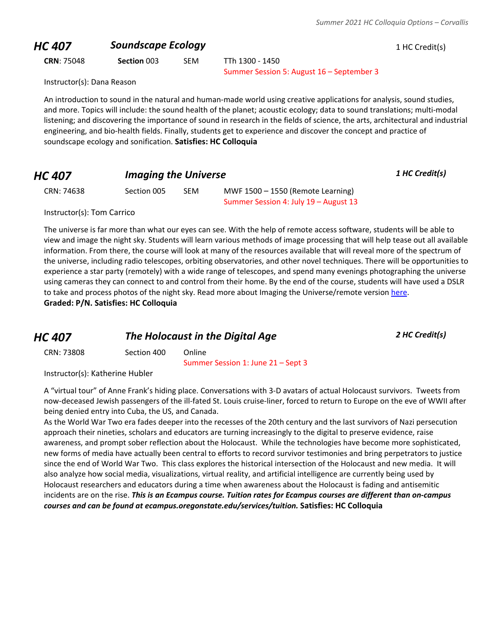## **HC 407 Soundscape Ecology 1 HC Credit(s)**

**CRN**: 75048 **Section** 003 SEM TTh 1300 - 1450

Summer Session 5: August 16 – September 3

Instructor(s): Dana Reason

An introduction to sound in the natural and human-made world using creative applications for analysis, sound studies, and more. Topics will include: the sound health of the planet; acoustic ecology; data to sound translations; multi-modal listening; and discovering the importance of sound in research in the fields of science, the arts, architectural and industrial engineering, and bio-health fields. Finally, students get to experience and discover the concept and practice of soundscape ecology and sonification. **Satisfies: HC Colloquia**

| <b>HC 407</b> | <b>Imaging the Universe</b> | 1 HC Credit(s) |
|---------------|-----------------------------|----------------|
|               |                             |                |

CRN: 74638 Section 005 SEM MWF 1500 – 1550 (Remote Learning) Summer Session 4: July 19 – August 13

Instructor(s): Tom Carrico

The universe is far more than what our eyes can see. With the help of remote access software, students will be able to view and image the night sky. Students will learn various methods of image processing that will help tease out all available information. From there, the course will look at many of the resources available that will reveal more of the spectrum of the universe, including radio telescopes, orbiting observatories, and other novel techniques. There will be opportunities to experience a star party (remotely) with a wide range of telescopes, and spend many evenings photographing the universe using cameras they can connect to and control from their home. By the end of the course, students will have used a DSLR to take and process photos of the night sky. Read more about Imaging the Universe/remote version [here.](http://blogs.oregonstate.edu/honorslink/2020/04/24/imaging-the-universe-a-new-perspective/) **Graded: P/N. Satisfies: HC Colloquia**

| HC 407     | The Holocaust in the Digital Age |        | 2 HC Credit(s) |
|------------|----------------------------------|--------|----------------|
| CRN: 73808 | Section 400                      | Online |                |

Summer Session 1: June 21 – Sept 3

Instructor(s): Katherine Hubler

A "virtual tour" of Anne Frank's hiding place. Conversations with 3-D avatars of actual Holocaust survivors. Tweets from now-deceased Jewish passengers of the ill-fated St. Louis cruise-liner, forced to return to Europe on the eve of WWII after being denied entry into Cuba, the US, and Canada.

As the World War Two era fades deeper into the recesses of the 20th century and the last survivors of Nazi persecution approach their nineties, scholars and educators are turning increasingly to the digital to preserve evidence, raise awareness, and prompt sober reflection about the Holocaust. While the technologies have become more sophisticated, new forms of media have actually been central to efforts to record survivor testimonies and bring perpetrators to justice since the end of World War Two. This class explores the historical intersection of the Holocaust and new media. It will also analyze how social media, visualizations, virtual reality, and artificial intelligence are currently being used by Holocaust researchers and educators during a time when awareness about the Holocaust is fading and antisemitic incidents are on the rise. *This is an Ecampus course. Tuition rates for Ecampus courses are different than on-campus courses and can be found at ecampus.oregonstate.edu/services/tuition.* **Satisfies: HC Colloquia**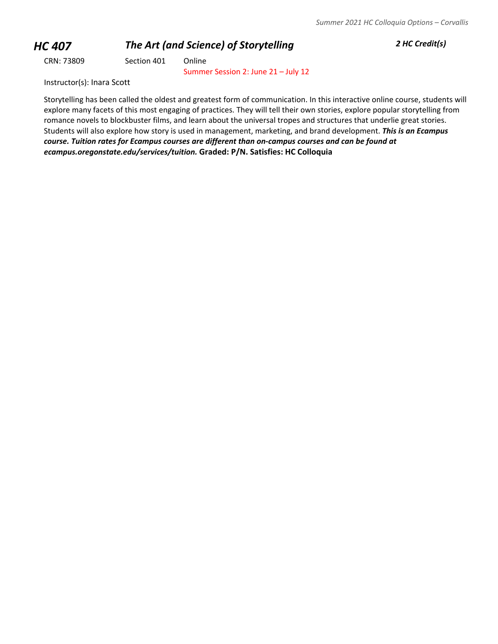# *HC 407 The Art (and Science) of Storytelling 2 HC Credit(s)*

CRN: 73809 Section 401 Online

Summer Session 2: June 21 – July 12

Instructor(s): Inara Scott

Storytelling has been called the oldest and greatest form of communication. In this interactive online course, students will explore many facets of this most engaging of practices. They will tell their own stories, explore popular storytelling from romance novels to blockbuster films, and learn about the universal tropes and structures that underlie great stories. Students will also explore how story is used in management, marketing, and brand development. *This is an Ecampus course. Tuition rates for Ecampus courses are different than on-campus courses and can be found at ecampus.oregonstate.edu/services/tuition.* **Graded: P/N. Satisfies: HC Colloquia**